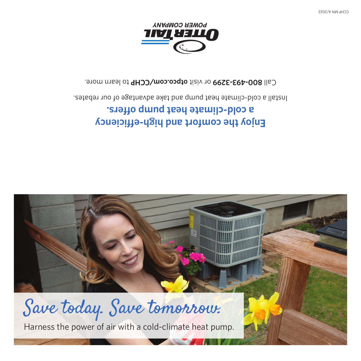

## **Enjoy the comfort and high-efficiency a cold-climate heat pump offers.**

Install a cold-climate heat pump and take advantage of our rebates.

Call 800-493-3299 or visit otpco.com/CCHP to learn more.